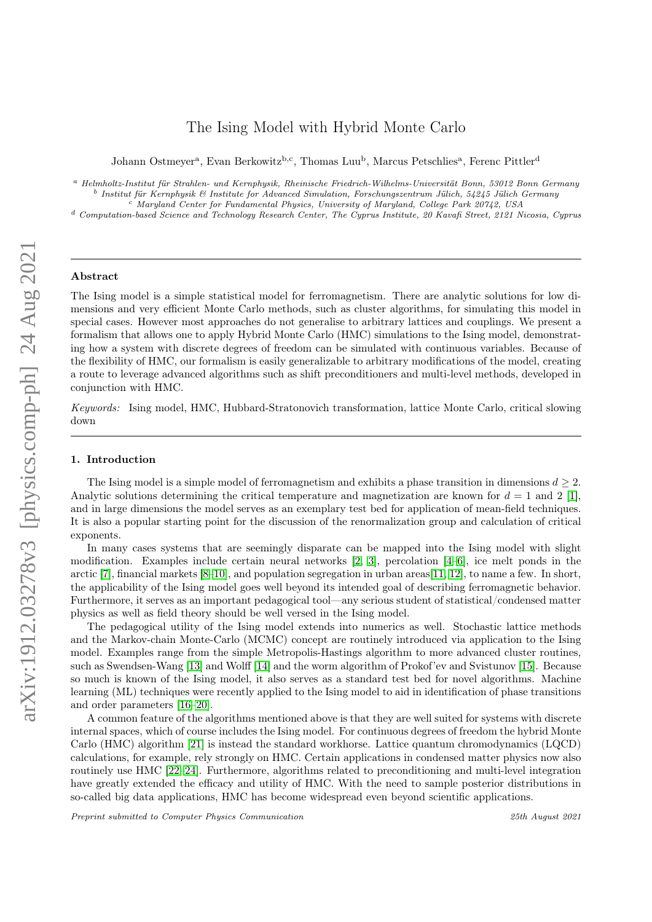# The Ising Model with Hybrid Monte Carlo

Johann Ostmeyer<sup>a</sup>, Evan Berkowitz<sup>b,c</sup>, Thomas Luu<sup>b</sup>, Marcus Petschlies<sup>a</sup>, Ferenc Pittler<sup>d</sup>

<sup>a</sup> Helmholtz-Institut für Strahlen- und Kernphysik, Rheinische Friedrich-Wilhelms-Universität Bonn, 53012 Bonn Germany b Institut für Kernphysik & Institute for Advanced Simulation, Forschungszentrum Jülich, 54245 Jülich Germany

<sup>c</sup> Maryland Center for Fundamental Physics, University of Maryland, College Park 20742, USA

<sup>d</sup> Computation-based Science and Technology Research Center, The Cyprus Institute, 20 Kavafi Street, 2121 Nicosia, Cyprus

#### Abstract

The Ising model is a simple statistical model for ferromagnetism. There are analytic solutions for low dimensions and very efficient Monte Carlo methods, such as cluster algorithms, for simulating this model in special cases. However most approaches do not generalise to arbitrary lattices and couplings. We present a formalism that allows one to apply Hybrid Monte Carlo (HMC) simulations to the Ising model, demonstrating how a system with discrete degrees of freedom can be simulated with continuous variables. Because of the flexibility of HMC, our formalism is easily generalizable to arbitrary modifications of the model, creating a route to leverage advanced algorithms such as shift preconditioners and multi-level methods, developed in conjunction with HMC.

Keywords: Ising model, HMC, Hubbard-Stratonovich transformation, lattice Monte Carlo, critical slowing down

### 1. Introduction

The Ising model is a simple model of ferromagnetism and exhibits a phase transition in dimensions  $d \geq 2$ . Analytic solutions determining the critical temperature and magnetization are known for  $d = 1$  and 2 [\[1\]](#page-8-0), and in large dimensions the model serves as an exemplary test bed for application of mean-field techniques. It is also a popular starting point for the discussion of the renormalization group and calculation of critical exponents.

In many cases systems that are seemingly disparate can be mapped into the Ising model with slight modification. Examples include certain neural networks [\[2,](#page-8-1) [3\]](#page-8-2), percolation [\[4–](#page-8-3)[6\]](#page-8-4), ice melt ponds in the arctic [\[7\]](#page-9-0), financial markets [\[8](#page-9-1)[–10\]](#page-9-2), and population segregation in urban areas[\[11,](#page-9-3) [12\]](#page-9-4), to name a few. In short, the applicability of the Ising model goes well beyond its intended goal of describing ferromagnetic behavior. Furthermore, it serves as an important pedagogical tool—any serious student of statistical/condensed matter physics as well as field theory should be well versed in the Ising model.

The pedagogical utility of the Ising model extends into numerics as well. Stochastic lattice methods and the Markov-chain Monte-Carlo (MCMC) concept are routinely introduced via application to the Ising model. Examples range from the simple Metropolis-Hastings algorithm to more advanced cluster routines, such as Swendsen-Wang [\[13\]](#page-9-5) and Wolff [\[14\]](#page-9-6) and the worm algorithm of Prokof'ev and Svistunov [\[15\]](#page-9-7). Because so much is known of the Ising model, it also serves as a standard test bed for novel algorithms. Machine learning (ML) techniques were recently applied to the Ising model to aid in identification of phase transitions and order parameters [\[16](#page-9-8)[–20\]](#page-9-9).

A common feature of the algorithms mentioned above is that they are well suited for systems with discrete internal spaces, which of course includes the Ising model. For continuous degrees of freedom the hybrid Monte Carlo (HMC) algorithm [\[21\]](#page-9-10) is instead the standard workhorse. Lattice quantum chromodynamics (LQCD) calculations, for example, rely strongly on HMC. Certain applications in condensed matter physics now also routinely use HMC [\[22–](#page-9-11)[24\]](#page-9-12). Furthermore, algorithms related to preconditioning and multi-level integration have greatly extended the efficacy and utility of HMC. With the need to sample posterior distributions in so-called big data applications, HMC has become widespread even beyond scientific applications.

Preprint submitted to Computer Physics Communication 25th August 2021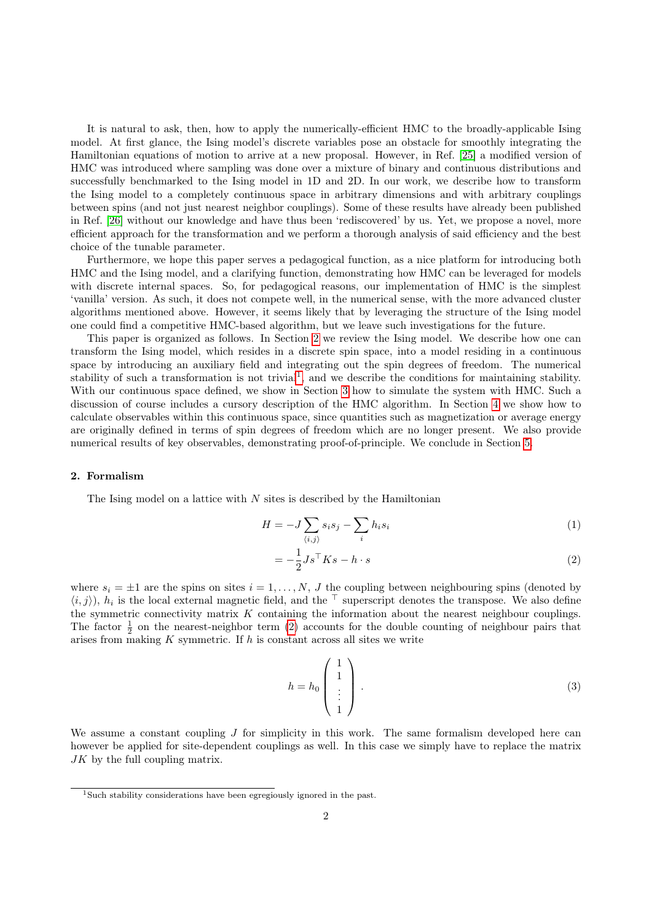It is natural to ask, then, how to apply the numerically-efficient HMC to the broadly-applicable Ising model. At first glance, the Ising model's discrete variables pose an obstacle for smoothly integrating the Hamiltonian equations of motion to arrive at a new proposal. However, in Ref. [\[25\]](#page-9-13) a modified version of HMC was introduced where sampling was done over a mixture of binary and continuous distributions and successfully benchmarked to the Ising model in 1D and 2D. In our work, we describe how to transform the Ising model to a completely continuous space in arbitrary dimensions and with arbitrary couplings between spins (and not just nearest neighbor couplings). Some of these results have already been published in Ref. [\[26\]](#page-9-14) without our knowledge and have thus been 'rediscovered' by us. Yet, we propose a novel, more efficient approach for the transformation and we perform a thorough analysis of said efficiency and the best choice of the tunable parameter.

Furthermore, we hope this paper serves a pedagogical function, as a nice platform for introducing both HMC and the Ising model, and a clarifying function, demonstrating how HMC can be leveraged for models with discrete internal spaces. So, for pedagogical reasons, our implementation of HMC is the simplest 'vanilla' version. As such, it does not compete well, in the numerical sense, with the more advanced cluster algorithms mentioned above. However, it seems likely that by leveraging the structure of the Ising model one could find a competitive HMC-based algorithm, but we leave such investigations for the future.

This paper is organized as follows. In Section [2](#page-1-0) we review the Ising model. We describe how one can transform the Ising model, which resides in a discrete spin space, into a model residing in a continuous space by introducing an auxiliary field and integrating out the spin degrees of freedom. The numerical stability of such a transformation is not trivial<sup>[1](#page-1-1)</sup>, and we describe the conditions for maintaining stability. With our continuous space defined, we show in Section [3](#page-3-0) how to simulate the system with HMC. Such a discussion of course includes a cursory description of the HMC algorithm. In Section [4](#page-5-0) we show how to calculate observables within this continuous space, since quantities such as magnetization or average energy are originally defined in terms of spin degrees of freedom which are no longer present. We also provide numerical results of key observables, demonstrating proof-of-principle. We conclude in Section [5.](#page-7-0)

#### <span id="page-1-0"></span>2. Formalism

The Ising model on a lattice with  $N$  sites is described by the Hamiltonian

$$
H = -J\sum_{\langle i,j\rangle} s_i s_j - \sum_i h_i s_i \tag{1}
$$

<span id="page-1-2"></span>
$$
= -\frac{1}{2}Js^{\top}Ks - h \cdot s \tag{2}
$$

where  $s_i = \pm 1$  are the spins on sites  $i = 1, \ldots, N, J$  the coupling between neighbouring spins (denoted by  $\langle i, j \rangle$ ,  $h_i$  is the local external magnetic field, and the  $\top$  superscript denotes the transpose. We also define the symmetric connectivity matrix  $K$  containing the information about the nearest neighbour couplings. The factor  $\frac{1}{2}$  on the nearest-neighbor term [\(2\)](#page-1-2) accounts for the double counting of neighbour pairs that arises from making  $K$  symmetric. If  $h$  is constant across all sites we write

<span id="page-1-3"></span>
$$
h = h_0 \begin{pmatrix} 1 \\ 1 \\ \vdots \\ 1 \end{pmatrix} . \tag{3}
$$

We assume a constant coupling  $J$  for simplicity in this work. The same formalism developed here can however be applied for site-dependent couplings as well. In this case we simply have to replace the matrix JK by the full coupling matrix.

<span id="page-1-1"></span><sup>1</sup>Such stability considerations have been egregiously ignored in the past.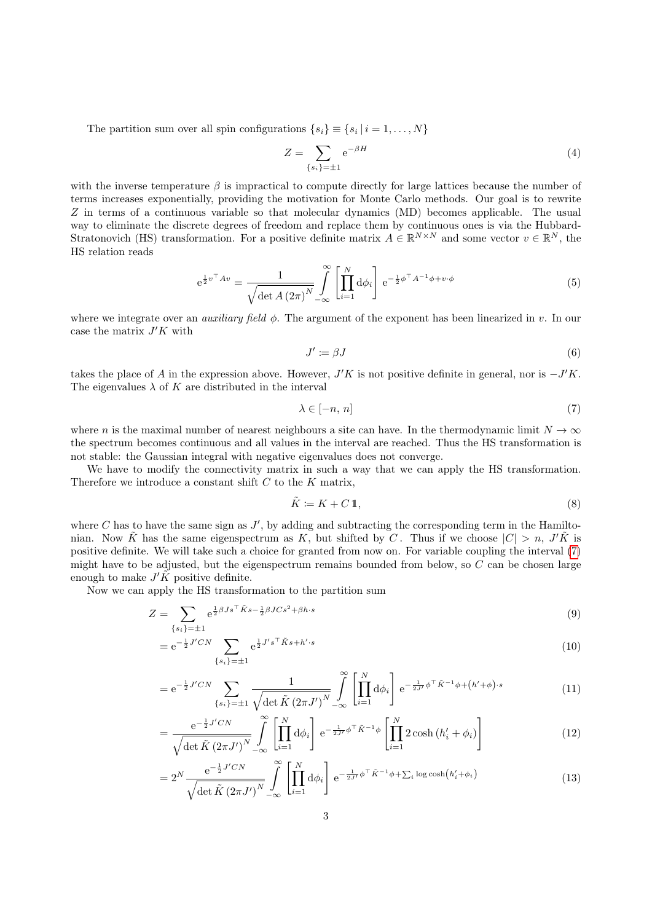The partition sum over all spin configurations  $\{s_i\} \equiv \{s_i \mid i = 1, \ldots, N\}$ 

$$
Z = \sum_{\{s_i\}=\pm 1} e^{-\beta H} \tag{4}
$$

with the inverse temperature  $\beta$  is impractical to compute directly for large lattices because the number of terms increases exponentially, providing the motivation for Monte Carlo methods. Our goal is to rewrite Z in terms of a continuous variable so that molecular dynamics (MD) becomes applicable. The usual way to eliminate the discrete degrees of freedom and replace them by continuous ones is via the Hubbard-Stratonovich (HS) transformation. For a positive definite matrix  $A \in \mathbb{R}^{N \times N}$  and some vector  $v \in \mathbb{R}^{N}$ , the HS relation reads

$$
e^{\frac{1}{2}v^{\top}Av} = \frac{1}{\sqrt{\det A (2\pi)^{N}}} \int\limits_{-\infty}^{\infty} \left[ \prod_{i=1}^{N} d\phi_{i} \right] e^{-\frac{1}{2}\phi^{\top}A^{-1}\phi + v \cdot \phi}
$$
(5)

where we integrate over an *auxiliary field*  $\phi$ . The argument of the exponent has been linearized in v. In our case the matrix  $J'K$  with

<span id="page-2-2"></span><span id="page-2-0"></span>
$$
J' := \beta J \tag{6}
$$

takes the place of A in the expression above. However,  $J'K$  is not positive definite in general, nor is  $-J'K$ . The eigenvalues  $\lambda$  of K are distributed in the interval

$$
\lambda \in [-n, n] \tag{7}
$$

where n is the maximal number of nearest neighbours a site can have. In the thermodynamic limit  $N \to \infty$ the spectrum becomes continuous and all values in the interval are reached. Thus the HS transformation is not stable: the Gaussian integral with negative eigenvalues does not converge.

We have to modify the connectivity matrix in such a way that we can apply the HS transformation. Therefore we introduce a constant shift  $C$  to the  $K$  matrix,

<span id="page-2-5"></span><span id="page-2-4"></span><span id="page-2-3"></span><span id="page-2-1"></span>
$$
\tilde{K} := K + C \mathbb{1},\tag{8}
$$

where  $C$  has to have the same sign as  $J'$ , by adding and subtracting the corresponding term in the Hamiltonian. Now  $\tilde{K}$  has the same eigenspectrum as K, but shifted by C. Thus if we choose  $|C| > n$ , J'K is positive definite. We will take such a choice for granted from now on. For variable coupling the interval [\(7\)](#page-2-0) might have to be adjusted, but the eigenspectrum remains bounded from below, so C can be chosen large enough to make  $J'K$  positive definite.

Now we can apply the HS transformation to the partition sum

$$
Z = \sum_{\{s_i\}=\pm 1} e^{\frac{1}{2}\beta J s^\top \tilde{K} s - \frac{1}{2}\beta J C s^2 + \beta h \cdot s} \tag{9}
$$

$$
= e^{-\frac{1}{2}J'CN} \sum_{\{s_i\}=\pm 1} e^{\frac{1}{2}J's^{\top}\tilde{K}s + h'\cdot s}
$$
\n(10)

$$
= e^{-\frac{1}{2}J'CN} \sum_{\{s_i\}=\pm 1} \frac{1}{\sqrt{\det \tilde{K}(2\pi J')^N}} \int_{-\infty}^{\infty} \left[ \prod_{i=1}^N d\phi_i \right] e^{-\frac{1}{2J'}\phi^{\top} \tilde{K}^{-1} \phi + (h'+\phi)\cdot s}
$$
(11)

$$
= \frac{e^{-\frac{1}{2}J'CN}}{\sqrt{\det\tilde{K}\left(2\pi J'\right)^N}} \int\limits_{-\infty}^{\infty} \left[\prod_{i=1}^N d\phi_i\right] e^{-\frac{1}{2J'}\phi^{\top}\tilde{K}^{-1}\phi} \left[\prod_{i=1}^N 2\cosh\left(h'_i + \phi_i\right)\right]
$$
(12)

$$
=2^N\frac{e^{-\frac{1}{2}J'CN}}{\sqrt{\det\tilde{K}\left(2\pi J'\right)^N}}\int\limits_{-\infty}^{\infty}\left[\prod_{i=1}^N d\phi_i\right]e^{-\frac{1}{2J'}\phi^{\top}\tilde{K}^{-1}\phi+\sum_i\log\cosh\left(h'_i+\phi_i\right)}\tag{13}
$$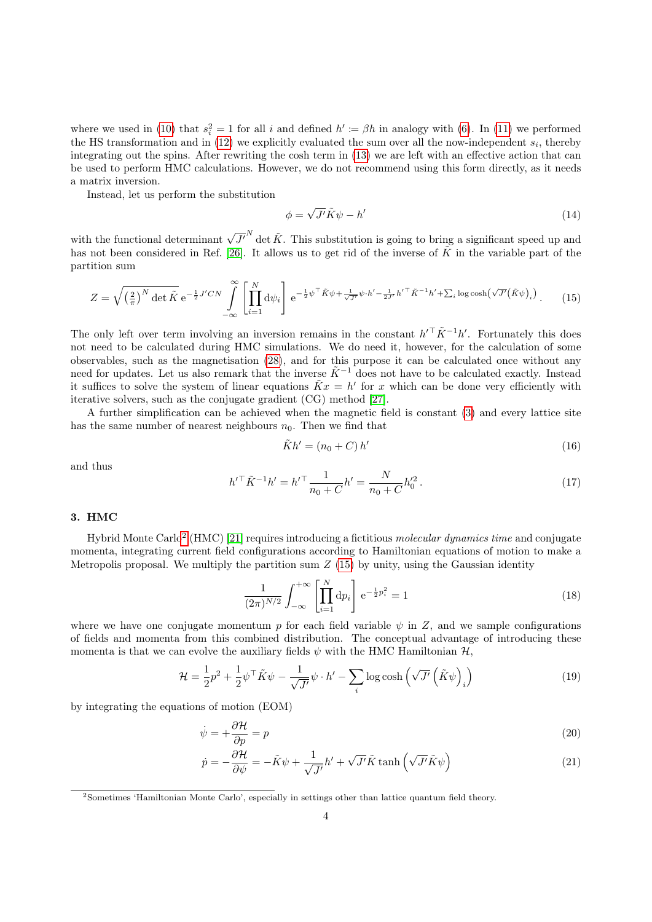where we used in [\(10\)](#page-2-1) that  $s_i^2 = 1$  for all i and defined  $h' \coloneqq \beta h$  in analogy with [\(6\)](#page-2-2). In [\(11\)](#page-2-3) we performed the HS transformation and in  $(12)$  we explicitly evaluated the sum over all the now-independent  $s_i$ , thereby integrating out the spins. After rewriting the cosh term in [\(13\)](#page-2-5) we are left with an effective action that can be used to perform HMC calculations. However, we do not recommend using this form directly, as it needs a matrix inversion.

Instead, let us perform the substitution

<span id="page-3-2"></span>
$$
\phi = \sqrt{J'}\tilde{K}\psi - h' \tag{14}
$$

with the functional determinant  $\sqrt{J'}^N$  det  $\tilde{K}$ . This substitution is going to bring a significant speed up and has not been considered in Ref. [\[26\]](#page-9-14). It allows us to get rid of the inverse of  $\tilde{K}$  in the variable part of the partition sum

$$
Z = \sqrt{\left(\frac{2}{\pi}\right)^N \det \tilde{K}} e^{-\frac{1}{2}J'CN} \int_{-\infty}^{\infty} \left[ \prod_{i=1}^N d\psi_i \right] e^{-\frac{1}{2}\psi^{\top} \tilde{K}\psi + \frac{1}{\sqrt{J'}}\psi \cdot h' - \frac{1}{2J'}h'^{\top} \tilde{K}^{-1}h' + \sum_i \log \cosh\left(\sqrt{J'}(\tilde{K}\psi)_i\right)}.
$$
 (15)

The only left over term involving an inversion remains in the constant  $h'^{\top} \tilde{K}^{-1} h'$ . Fortunately this does not need to be calculated during HMC simulations. We do need it, however, for the calculation of some observables, such as the magnetisation [\(28\)](#page-5-1), and for this purpose it can be calculated once without any need for updates. Let us also remark that the inverse  $\tilde{K}^{-1}$  does not have to be calculated exactly. Instead it suffices to solve the system of linear equations  $\tilde{K}x = h'$  for x which can be done very efficiently with iterative solvers, such as the conjugate gradient (CG) method [\[27\]](#page-9-15).

A further simplification can be achieved when the magnetic field is constant [\(3\)](#page-1-3) and every lattice site has the same number of nearest neighbours  $n_0$ . Then we find that

$$
\tilde{K}h' = (n_0 + C)h'
$$
\n(16)

and thus

<span id="page-3-4"></span>
$$
h'^\top \tilde{K}^{-1} h' = h'^\top \frac{1}{n_0 + C} h' = \frac{N}{n_0 + C} h'^2_0.
$$
 (17)

## <span id="page-3-0"></span>3. HMC

Hybrid Monte Carlo<sup>[2](#page-3-1)</sup> (HMC) [\[21\]](#page-9-10) requires introducing a fictitious *molecular dynamics time* and conjugate momenta, integrating current field configurations according to Hamiltonian equations of motion to make a Metropolis proposal. We multiply the partition sum  $Z(15)$  $Z(15)$  by unity, using the Gaussian identity

<span id="page-3-3"></span>
$$
\frac{1}{(2\pi)^{N/2}} \int_{-\infty}^{+\infty} \left[ \prod_{i=1}^{N} dp_i \right] e^{-\frac{1}{2}p_i^2} = 1
$$
\n(18)

where we have one conjugate momentum p for each field variable  $\psi$  in Z, and we sample configurations of fields and momenta from this combined distribution. The conceptual advantage of introducing these momenta is that we can evolve the auxiliary fields  $\psi$  with the HMC Hamiltonian  $\mathcal{H}$ ,

$$
\mathcal{H} = \frac{1}{2}p^2 + \frac{1}{2}\psi^{\top}\tilde{K}\psi - \frac{1}{\sqrt{J'}}\psi \cdot h' - \sum_{i} \log \cosh\left(\sqrt{J'}\left(\tilde{K}\psi\right)_i\right) \tag{19}
$$

by integrating the equations of motion (EOM)

$$
\dot{\psi} = +\frac{\partial \mathcal{H}}{\partial p} = p \tag{20}
$$

$$
\dot{p} = -\frac{\partial \mathcal{H}}{\partial \psi} = -\tilde{K}\psi + \frac{1}{\sqrt{J'}}h' + \sqrt{J'}\tilde{K}\tanh\left(\sqrt{J'}\tilde{K}\psi\right)
$$
\n(21)

<span id="page-3-1"></span><sup>2</sup>Sometimes 'Hamiltonian Monte Carlo', especially in settings other than lattice quantum field theory.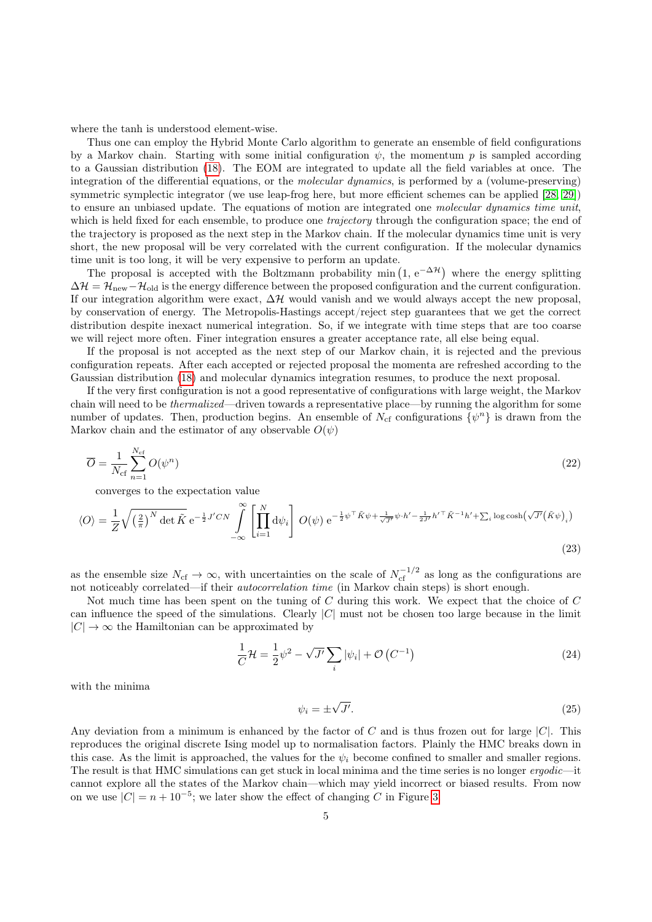where the tanh is understood element-wise.

Thus one can employ the Hybrid Monte Carlo algorithm to generate an ensemble of field configurations by a Markov chain. Starting with some initial configuration  $\psi$ , the momentum p is sampled according to a Gaussian distribution [\(18\)](#page-3-3). The EOM are integrated to update all the field variables at once. The integration of the differential equations, or the *molecular dynamics*, is performed by a (volume-preserving) symmetric symplectic integrator (we use leap-frog here, but more efficient schemes can be applied [\[28,](#page-9-16) [29\]](#page-9-17)) to ensure an unbiased update. The equations of motion are integrated one molecular dynamics time unit, which is held fixed for each ensemble, to produce one *trajectory* through the configuration space; the end of the trajectory is proposed as the next step in the Markov chain. If the molecular dynamics time unit is very short, the new proposal will be very correlated with the current configuration. If the molecular dynamics time unit is too long, it will be very expensive to perform an update.

The proposal is accepted with the Boltzmann probability min  $(1, e^{-\Delta \mathcal{H}})$  where the energy splitting  $\Delta \mathcal{H} = \mathcal{H}_{\text{new}} - \mathcal{H}_{\text{old}}$  is the energy difference between the proposed configuration and the current configuration. If our integration algorithm were exact,  $\Delta \mathcal{H}$  would vanish and we would always accept the new proposal, by conservation of energy. The Metropolis-Hastings accept/reject step guarantees that we get the correct distribution despite inexact numerical integration. So, if we integrate with time steps that are too coarse we will reject more often. Finer integration ensures a greater acceptance rate, all else being equal.

If the proposal is not accepted as the next step of our Markov chain, it is rejected and the previous configuration repeats. After each accepted or rejected proposal the momenta are refreshed according to the Gaussian distribution [\(18\)](#page-3-3) and molecular dynamics integration resumes, to produce the next proposal.

If the very first configuration is not a good representative of configurations with large weight, the Markov chain will need to be *thermalized*—driven towards a representative place—by running the algorithm for some number of updates. Then, production begins. An ensemble of  $N_{\rm cf}$  configurations  $\{\psi^n\}$  is drawn from the Markov chain and the estimator of any observable  $O(\psi)$ 

$$
\overline{O} = \frac{1}{N_{\rm cf}} \sum_{n=1}^{N_{\rm cf}} O(\psi^n) \tag{22}
$$

converges to the expectation value

$$
\langle O \rangle = \frac{1}{Z} \sqrt{\left(\frac{2}{\pi}\right)^N \det \tilde{K}} e^{-\frac{1}{2} J' C N} \int_{-\infty}^{\infty} \left[ \prod_{i=1}^N d\psi_i \right] O(\psi) e^{-\frac{1}{2} \psi^{\top} \tilde{K} \psi + \frac{1}{\sqrt{J'}} \psi \cdot h' - \frac{1}{2J'} h'^{\top} \tilde{K}^{-1} h' + \sum_i \log \cosh(\sqrt{J'} (\tilde{K} \psi)_i)} \tag{23}
$$

as the ensemble size  $N_{\rm cf} \to \infty$ , with uncertainties on the scale of  $N_{\rm cf}^{-1/2}$  as long as the configurations are not noticeably correlated—if their autocorrelation time (in Markov chain steps) is short enough.

Not much time has been spent on the tuning of C during this work. We expect that the choice of C can influence the speed of the simulations. Clearly  $|C|$  must not be chosen too large because in the limit  $|C| \to \infty$  the Hamiltonian can be approximated by

$$
\frac{1}{C}\mathcal{H} = \frac{1}{2}\psi^2 - \sqrt{J'}\sum_{i}|\psi_i| + \mathcal{O}\left(C^{-1}\right)
$$
\n(24)

with the minima

<span id="page-4-0"></span>
$$
\psi_i = \pm \sqrt{J'}.\tag{25}
$$

Any deviation from a minimum is enhanced by the factor of C and is thus frozen out for large  $|C|$ . This reproduces the original discrete Ising model up to normalisation factors. Plainly the HMC breaks down in this case. As the limit is approached, the values for the  $\psi_i$  become confined to smaller and smaller regions. The result is that HMC simulations can get stuck in local minima and the time series is no longer ergodic—it cannot explore all the states of the Markov chain—which may yield incorrect or biased results. From now on we use  $|C| = n + 10^{-5}$ ; we later show the effect of changing C in Figure [3.](#page-7-1)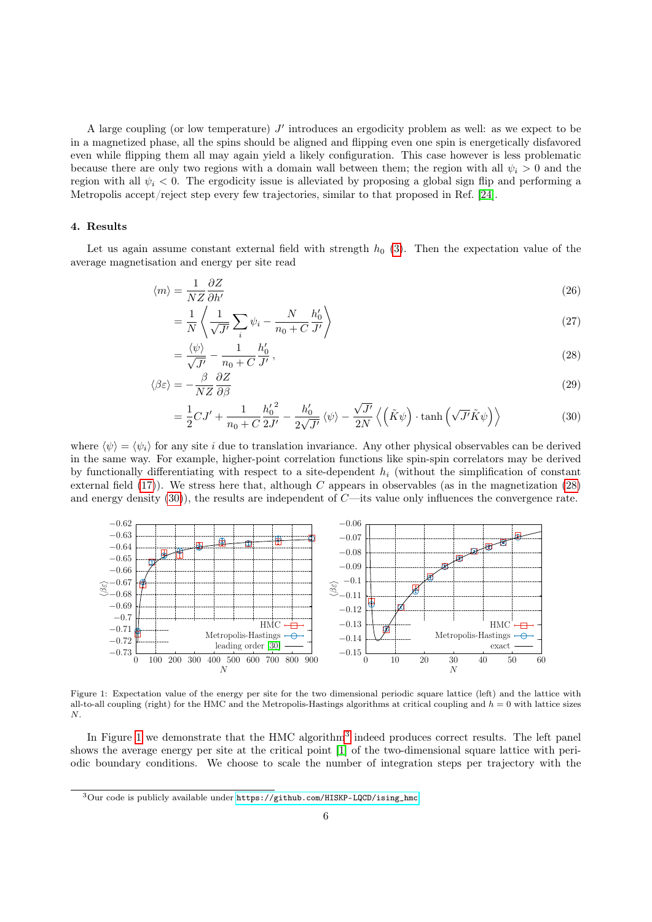A large coupling (or low temperature)  $J'$  introduces an ergodicity problem as well: as we expect to be in a magnetized phase, all the spins should be aligned and flipping even one spin is energetically disfavored even while flipping them all may again yield a likely configuration. This case however is less problematic because there are only two regions with a domain wall between them; the region with all  $\psi_i > 0$  and the region with all  $\psi_i < 0$ . The ergodicity issue is alleviated by proposing a global sign flip and performing a Metropolis accept/reject step every few trajectories, similar to that proposed in Ref. [\[24\]](#page-9-12).

#### <span id="page-5-0"></span>4. Results

Let us again assume constant external field with strength  $h_0$  [\(3\)](#page-1-3). Then the expectation value of the average magnetisation and energy per site read

$$
\langle m \rangle = \frac{1}{NZ} \frac{\partial Z}{\partial h'}
$$
 (26)

$$
=\frac{1}{N}\left\langle \frac{1}{\sqrt{J'}}\sum_{i}\psi_{i} - \frac{N}{n_{0}+C}\frac{h'_{0}}{J'}\right\rangle
$$
\n(27)

<span id="page-5-1"></span>
$$
=\frac{\langle\psi\rangle}{\sqrt{J'}}-\frac{1}{n_0+C}\frac{h'_0}{J'},\tag{28}
$$

$$
\langle \beta \varepsilon \rangle = -\frac{\beta}{NZ} \frac{\partial Z}{\partial \beta} \tag{29}
$$

<span id="page-5-5"></span><span id="page-5-2"></span>
$$
= \frac{1}{2}CJ' + \frac{1}{n_0 + C} \frac{{h'_0}^2}{2J'} - \frac{h'_0}{2\sqrt{J'}} \langle \psi \rangle - \frac{\sqrt{J'}}{2N} \langle \left( \tilde{K}\psi \right) \cdot \tanh\left(\sqrt{J'}\tilde{K}\psi\right) \rangle \tag{30}
$$

where  $\langle \psi \rangle = \langle \psi_i \rangle$  for any site i due to translation invariance. Any other physical observables can be derived in the same way. For example, higher-point correlation functions like spin-spin correlators may be derived by functionally differentiating with respect to a site-dependent  $h_i$  (without the simplification of constant external field  $(17)$ ). We stress here that, although C appears in observables (as in the magnetization  $(28)$ ) and energy density  $(30)$ , the results are independent of C—its value only influences the convergence rate.



<span id="page-5-3"></span>Figure 1: Expectation value of the energy per site for the two dimensional periodic square lattice (left) and the lattice with all-to-all coupling (right) for the HMC and the Metropolis-Hastings algorithms at critical coupling and  $h = 0$  with lattice sizes N.

In Figure [1](#page-5-3) we demonstrate that the HMC algorithm<sup>[3](#page-5-4)</sup> indeed produces correct results. The left panel shows the average energy per site at the critical point [\[1\]](#page-8-0) of the two-dimensional square lattice with periodic boundary conditions. We choose to scale the number of integration steps per trajectory with the

<span id="page-5-4"></span><sup>3</sup>Our code is publicly available under [https://github.com/HISKP-LQCD/ising\\_hmc](https://github.com/HISKP-LQCD/ising_hmc).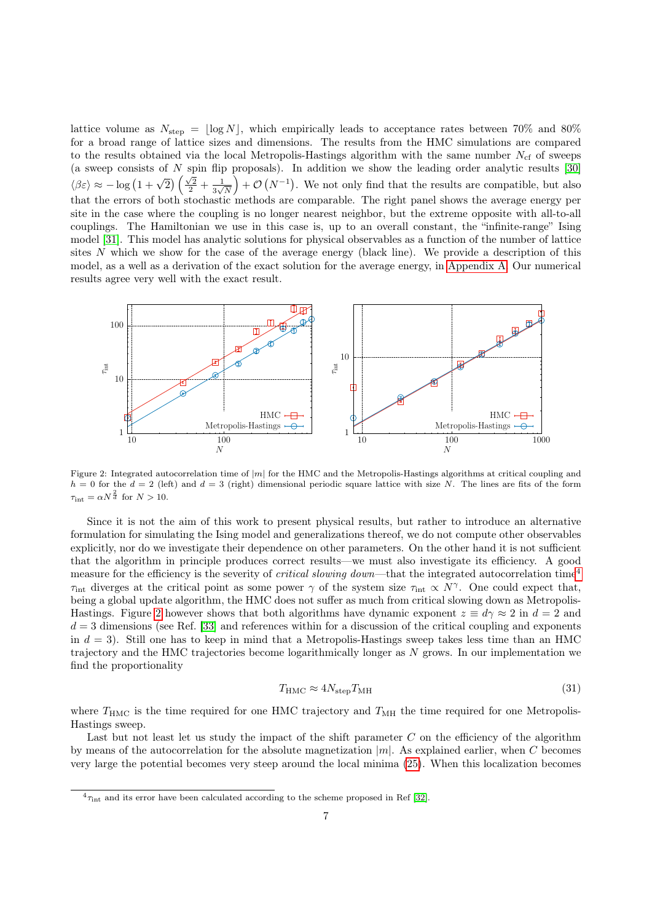lattice volume as  $N_{\text{step}} = \lfloor \log N \rfloor$ , which empirically leads to acceptance rates between 70% and 80% for a broad range of lattice sizes and dimensions. The results from the HMC simulations are compared to the results obtained via the local Metropolis-Hastings algorithm with the same number  $N_{\rm cf}$  of sweeps (a sweep consists of  $N$  spin flip proposals). In addition we show the leading order analytic results [\[30\]](#page-9-18)  $\langle \beta \varepsilon \rangle \approx -\log \left(1+\sqrt{2}\right) \left(\frac{\sqrt{2}}{2}+\frac{1}{3\sqrt{2}}\right)$  $\frac{1}{3\sqrt{N}}$  +  $\mathcal{O}(N^{-1})$ . We not only find that the results are compatible, but also that the errors of both stochastic methods are comparable. The right panel shows the average energy per site in the case where the coupling is no longer nearest neighbor, but the extreme opposite with all-to-all couplings. The Hamiltonian we use in this case is, up to an overall constant, the "infinite-range" Ising model [\[31\]](#page-10-0). This model has analytic solutions for physical observables as a function of the number of lattice sites N which we show for the case of the average energy (black line). We provide a description of this model, as a well as a derivation of the exact solution for the average energy, in [Appendix A.](#page-8-5) Our numerical results agree very well with the exact result.



<span id="page-6-1"></span>Figure 2: Integrated autocorrelation time of  $|m|$  for the HMC and the Metropolis-Hastings algorithms at critical coupling and  $h = 0$  for the  $d = 2$  (left) and  $d = 3$  (right) dimensional periodic square lattice with size N. The lines are fits of the form  $\tau_{\text{int}} = \alpha N^{\frac{2}{d}}$  for  $N > 10$ .

Since it is not the aim of this work to present physical results, but rather to introduce an alternative formulation for simulating the Ising model and generalizations thereof, we do not compute other observables explicitly, nor do we investigate their dependence on other parameters. On the other hand it is not sufficient that the algorithm in principle produces correct results—we must also investigate its efficiency. A good measure for the efficiency is the severity of *critical slowing down*—that the integrated autocorrelation time<sup>[4](#page-6-0)</sup>  $\tau_{\text{int}}$  diverges at the critical point as some power  $\gamma$  of the system size  $\tau_{\text{int}} \propto N^{\gamma}$ . One could expect that, being a global update algorithm, the HMC does not suffer as much from critical slowing down as Metropolis-Hastings. Figure [2](#page-6-1) however shows that both algorithms have dynamic exponent  $z \equiv d\gamma \approx 2$  in  $d = 2$  and  $d = 3$  dimensions (see Ref. [\[33\]](#page-10-1) and references within for a discussion of the critical coupling and exponents in  $d = 3$ . Still one has to keep in mind that a Metropolis-Hastings sweep takes less time than an HMC trajectory and the HMC trajectories become logarithmically longer as N grows. In our implementation we find the proportionality

$$
T_{\rm HMC} \approx 4N_{\rm step} T_{\rm MH} \tag{31}
$$

where  $T_{\text{HMC}}$  is the time required for one HMC trajectory and  $T_{\text{MH}}$  the time required for one Metropolis-Hastings sweep.

Last but not least let us study the impact of the shift parameter  $C$  on the efficiency of the algorithm by means of the autocorrelation for the absolute magnetization  $|m|$ . As explained earlier, when C becomes very large the potential becomes very steep around the local minima [\(25\)](#page-4-0). When this localization becomes

<span id="page-6-0"></span> ${}^{4}\tau_{\rm int}$  and its error have been calculated according to the scheme proposed in Ref [\[32\]](#page-10-2).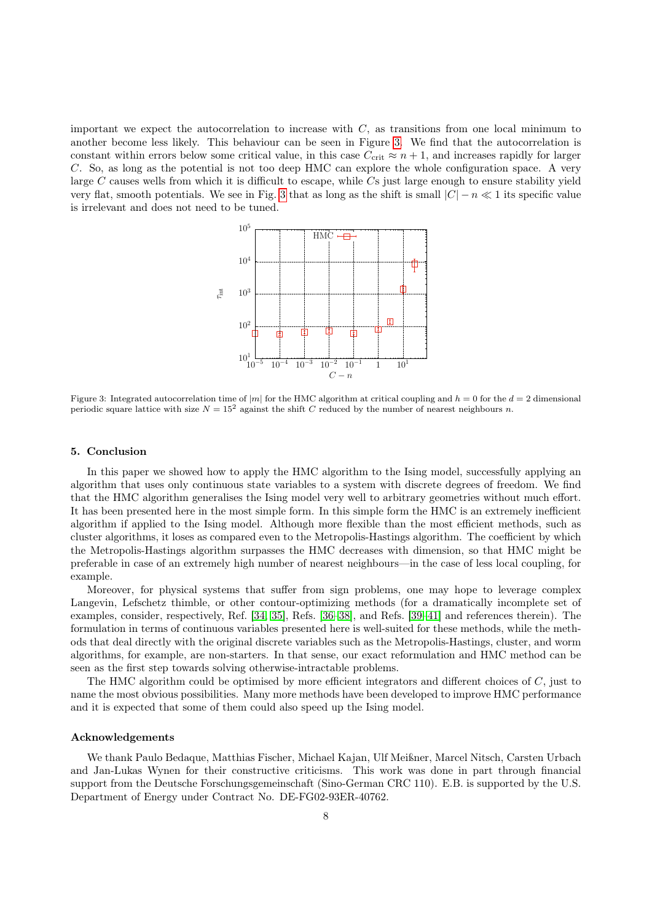important we expect the autocorrelation to increase with  $C$ , as transitions from one local minimum to another become less likely. This behaviour can be seen in Figure [3.](#page-7-1) We find that the autocorrelation is constant within errors below some critical value, in this case  $C_{\text{crit}} \approx n + 1$ , and increases rapidly for larger C. So, as long as the potential is not too deep HMC can explore the whole configuration space. A very large C causes wells from which it is difficult to escape, while Cs just large enough to ensure stability yield very flat, smooth potentials. We see in Fig. [3](#page-7-1) that as long as the shift is small  $|C| - n \ll 1$  its specific value is irrelevant and does not need to be tuned.



<span id="page-7-1"></span>Figure 3: Integrated autocorrelation time of |m| for the HMC algorithm at critical coupling and  $h = 0$  for the  $d = 2$  dimensional periodic square lattice with size  $N = 15^2$  against the shift C reduced by the number of nearest neighbours n.

#### <span id="page-7-0"></span>5. Conclusion

In this paper we showed how to apply the HMC algorithm to the Ising model, successfully applying an algorithm that uses only continuous state variables to a system with discrete degrees of freedom. We find that the HMC algorithm generalises the Ising model very well to arbitrary geometries without much effort. It has been presented here in the most simple form. In this simple form the HMC is an extremely inefficient algorithm if applied to the Ising model. Although more flexible than the most efficient methods, such as cluster algorithms, it loses as compared even to the Metropolis-Hastings algorithm. The coefficient by which the Metropolis-Hastings algorithm surpasses the HMC decreases with dimension, so that HMC might be preferable in case of an extremely high number of nearest neighbours—in the case of less local coupling, for example.

Moreover, for physical systems that suffer from sign problems, one may hope to leverage complex Langevin, Lefschetz thimble, or other contour-optimizing methods (for a dramatically incomplete set of examples, consider, respectively, Ref. [\[34,](#page-10-3) [35\]](#page-10-4), Refs. [\[36–](#page-10-5)[38\]](#page-10-6), and Refs. [\[39–](#page-10-7)[41\]](#page-10-8) and references therein). The formulation in terms of continuous variables presented here is well-suited for these methods, while the methods that deal directly with the original discrete variables such as the Metropolis-Hastings, cluster, and worm algorithms, for example, are non-starters. In that sense, our exact reformulation and HMC method can be seen as the first step towards solving otherwise-intractable problems.

The HMC algorithm could be optimised by more efficient integrators and different choices of  $C$ , just to name the most obvious possibilities. Many more methods have been developed to improve HMC performance and it is expected that some of them could also speed up the Ising model.

#### Acknowledgements

We thank Paulo Bedaque, Matthias Fischer, Michael Kajan, Ulf Meißner, Marcel Nitsch, Carsten Urbach and Jan-Lukas Wynen for their constructive criticisms. This work was done in part through financial support from the Deutsche Forschungsgemeinschaft (Sino-German CRC 110). E.B. is supported by the U.S. Department of Energy under Contract No. DE-FG02-93ER-40762.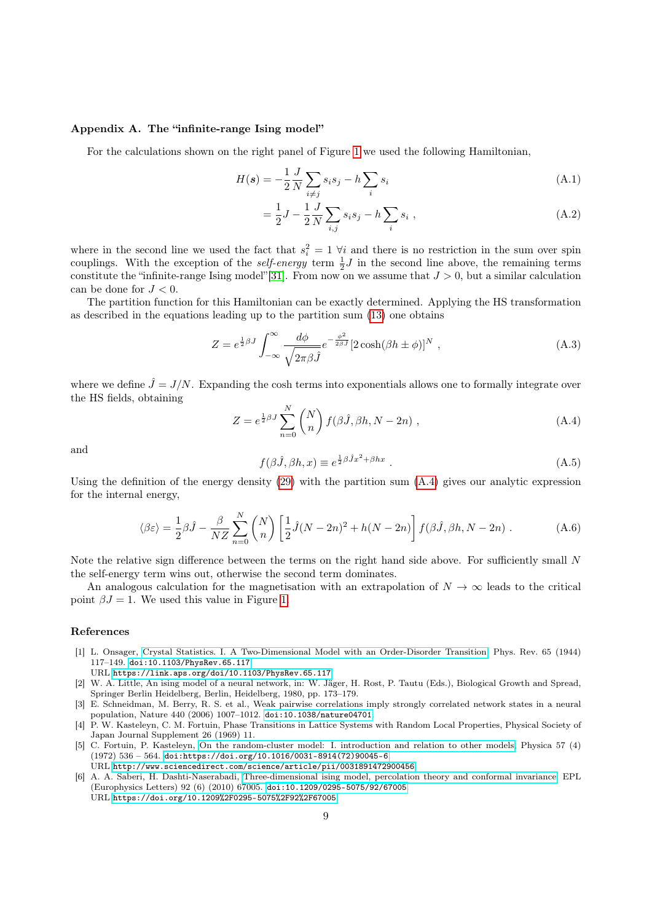#### <span id="page-8-5"></span>Appendix A. The "infinite-range Ising model"

For the calculations shown on the right panel of Figure [1](#page-5-3) we used the following Hamiltonian,

$$
H(s) = -\frac{1}{2} \frac{J}{N} \sum_{i \neq j} s_i s_j - h \sum_i s_i \tag{A.1}
$$

$$
= \frac{1}{2}J - \frac{1}{2}\frac{J}{N}\sum_{i,j}s_i s_j - h\sum_i s_i ,
$$
 (A.2)

where in the second line we used the fact that  $s_i^2 = 1$   $\forall i$  and there is no restriction in the sum over spin couplings. With the exception of the *self-energy* term  $\frac{1}{2}J$  in the second line above, the remaining terms constitute the "infinite-range Ising model"[\[31\]](#page-10-0). From now on we assume that  $J > 0$ , but a similar calculation can be done for  $J < 0$ .

The partition function for this Hamiltonian can be exactly determined. Applying the HS transformation as described in the equations leading up to the partition sum [\(13\)](#page-2-5) one obtains

$$
Z = e^{\frac{1}{2}\beta J} \int_{-\infty}^{\infty} \frac{d\phi}{\sqrt{2\pi\beta \hat{J}}} e^{-\frac{\phi^2}{2\beta \hat{J}}} [2\cosh(\beta h \pm \phi)]^N , \qquad (A.3)
$$

where we define  $\hat{J} = J/N$ . Expanding the cosh terms into exponentials allows one to formally integrate over the HS fields, obtaining

<span id="page-8-6"></span>
$$
Z = e^{\frac{1}{2}\beta J} \sum_{n=0}^{N} {N \choose n} f(\beta \hat{J}, \beta h, N - 2n) , \qquad (A.4)
$$

and

$$
f(\beta \hat{J}, \beta h, x) \equiv e^{\frac{1}{2}\beta \hat{J}x^2 + \beta hx} \tag{A.5}
$$

Using the definition of the energy density [\(29\)](#page-5-5) with the partition sum [\(A.4\)](#page-8-6) gives our analytic expression for the internal energy,

$$
\langle \beta \varepsilon \rangle = \frac{1}{2} \beta \hat{J} - \frac{\beta}{NZ} \sum_{n=0}^{N} {N \choose n} \left[ \frac{1}{2} \hat{J} (N - 2n)^2 + h(N - 2n) \right] f(\beta \hat{J}, \beta h, N - 2n) . \tag{A.6}
$$

Note the relative sign difference between the terms on the right hand side above. For sufficiently small N the self-energy term wins out, otherwise the second term dominates.

An analogous calculation for the magnetisation with an extrapolation of  $N \to \infty$  leads to the critical point  $\beta J = 1$ . We used this value in Figure [1.](#page-5-3)

#### References

<span id="page-8-0"></span>[1] L. Onsager, [Crystal Statistics. I. A Two-Dimensional Model with an Order-Disorder Transition,](https://link.aps.org/doi/10.1103/PhysRev.65.117) Phys. Rev. 65 (1944) 117–149. [doi:10.1103/PhysRev.65.117](https://doi.org/10.1103/PhysRev.65.117).

URL <https://link.aps.org/doi/10.1103/PhysRev.65.117>

- <span id="page-8-1"></span>[2] W. A. Little, An ising model of a neural network, in: W. Jäger, H. Rost, P. Tautu (Eds.), Biological Growth and Spread, Springer Berlin Heidelberg, Berlin, Heidelberg, 1980, pp. 173–179.
- <span id="page-8-2"></span>[3] E. Schneidman, M. Berry, R. S. et al., Weak pairwise correlations imply strongly correlated network states in a neural population, Nature 440 (2006) 1007–1012. [doi:10.1038/nature04701](https://doi.org/10.1038/nature04701).
- <span id="page-8-3"></span>[4] P. W. Kasteleyn, C. M. Fortuin, Phase Transitions in Lattice Systems with Random Local Properties, Physical Society of Japan Journal Supplement 26 (1969) 11.
- [5] C. Fortuin, P. Kasteleyn, [On the random-cluster model: I. introduction and relation to other models,](http://www.sciencedirect.com/science/article/pii/0031891472900456) Physica 57 (4)  $(1972)$  536 - 564. [doi:https://doi.org/10.1016/0031-8914\(72\)90045-6](https://doi.org/https://doi.org/10.1016/0031-8914(72)90045-6). URL <http://www.sciencedirect.com/science/article/pii/0031891472900456>
- <span id="page-8-4"></span>[6] A. A. Saberi, H. Dashti-Naserabadi, [Three-dimensional ising model, percolation theory and conformal invariance,](https://doi.org/10.1209%2F0295-5075%2F92%2F67005) EPL (Europhysics Letters) 92 (6) (2010) 67005. [doi:10.1209/0295-5075/92/67005](https://doi.org/10.1209/0295-5075/92/67005). URL <https://doi.org/10.1209%2F0295-5075%2F92%2F67005>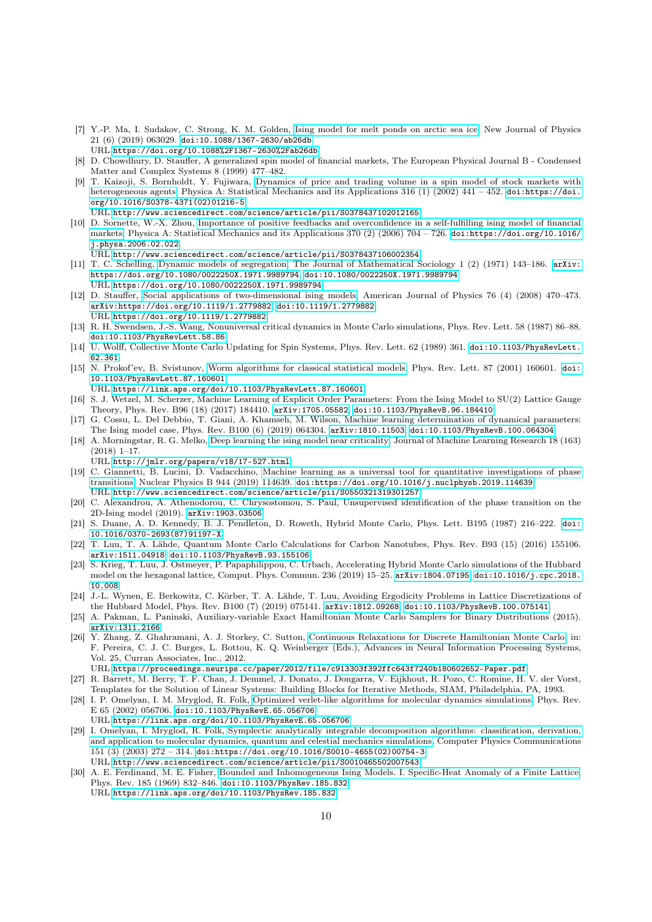- <span id="page-9-0"></span>[7] Y.-P. Ma, I. Sudakov, C. Strong, K. M. Golden, [Ising model for melt ponds on arctic sea ice,](https://doi.org/10.1088%2F1367-2630%2Fab26db) New Journal of Physics 21 (6) (2019) 063029. [doi:10.1088/1367-2630/ab26db](https://doi.org/10.1088/1367-2630/ab26db). URL <https://doi.org/10.1088%2F1367-2630%2Fab26db>
- <span id="page-9-1"></span>[8] D. Chowdhury, D. Stauffer, A generalized spin model of financial markets, The European Physical Journal B - Condensed Matter and Complex Systems 8 (1999) 477–482.
- [9] T. Kaizoji, S. Bornholdt, Y. Fujiwara, [Dynamics of price and trading volume in a spin model of stock markets with](http://www.sciencedirect.com/science/article/pii/S0378437102012165) [heterogeneous agents,](http://www.sciencedirect.com/science/article/pii/S0378437102012165) Physica A: Statistical Mechanics and its Applications 316 (1) (2002) 441 – 452. [doi:https://doi.](https://doi.org/https://doi.org/10.1016/S0378-4371(02)01216-5) [org/10.1016/S0378-4371\(02\)01216-5](https://doi.org/https://doi.org/10.1016/S0378-4371(02)01216-5).
- <span id="page-9-2"></span>URL <http://www.sciencedirect.com/science/article/pii/S0378437102012165> [10] D. Sornette, W.-X. Zhou, [Importance of positive feedbacks and overconfidence in a self-fulfilling ising model of financial](http://www.sciencedirect.com/science/article/pii/S0378437106002354) [markets,](http://www.sciencedirect.com/science/article/pii/S0378437106002354) Physica A: Statistical Mechanics and its Applications 370 (2) (2006) 704 – 726. [doi:https://doi.org/10.1016/](https://doi.org/https://doi.org/10.1016/j.physa.2006.02.022)
- [j.physa.2006.02.022](https://doi.org/https://doi.org/10.1016/j.physa.2006.02.022). URL <http://www.sciencedirect.com/science/article/pii/S0378437106002354>
- <span id="page-9-3"></span>[11] T. C. Schelling, [Dynamic models of segregation,](https://doi.org/10.1080/0022250X.1971.9989794) The Journal of Mathematical Sociology 1 (2) (1971) 143-186. [arXiv:](http://arxiv.org/abs/https://doi.org/10.1080/0022250X.1971.9989794) [https://doi.org/10.1080/0022250X.1971.9989794](http://arxiv.org/abs/https://doi.org/10.1080/0022250X.1971.9989794), [doi:10.1080/0022250X.1971.9989794](https://doi.org/10.1080/0022250X.1971.9989794). URL <https://doi.org/10.1080/0022250X.1971.9989794>
- <span id="page-9-4"></span>[12] D. Stauffer, [Social applications of two-dimensional ising models,](https://doi.org/10.1119/1.2779882) American Journal of Physics 76 (4) (2008) 470–473. [arXiv:https://doi.org/10.1119/1.2779882](http://arxiv.org/abs/https://doi.org/10.1119/1.2779882), [doi:10.1119/1.2779882](https://doi.org/10.1119/1.2779882). URL <https://doi.org/10.1119/1.2779882>
- <span id="page-9-5"></span>[13] R. H. Swendsen, J.-S. Wang, Nonuniversal critical dynamics in Monte Carlo simulations, Phys. Rev. Lett. 58 (1987) 86–88. [doi:10.1103/PhysRevLett.58.86](https://doi.org/10.1103/PhysRevLett.58.86).
- <span id="page-9-6"></span>[14] U. Wolff, Collective Monte Carlo Updating for Spin Systems, Phys. Rev. Lett. 62 (1989) 361. [doi:10.1103/PhysRevLett.](https://doi.org/10.1103/PhysRevLett.62.361) [62.361](https://doi.org/10.1103/PhysRevLett.62.361).
- <span id="page-9-7"></span>[15] N. Prokof'ev, B. Svistunov, [Worm algorithms for classical statistical models,](https://link.aps.org/doi/10.1103/PhysRevLett.87.160601) Phys. Rev. Lett. 87 (2001) 160601. [doi:](https://doi.org/10.1103/PhysRevLett.87.160601) [10.1103/PhysRevLett.87.160601](https://doi.org/10.1103/PhysRevLett.87.160601).
- URL <https://link.aps.org/doi/10.1103/PhysRevLett.87.160601>
- <span id="page-9-8"></span>[16] S. J. Wetzel, M. Scherzer, Machine Learning of Explicit Order Parameters: From the Ising Model to SU(2) Lattice Gauge Theory, Phys. Rev. B96 (18) (2017) 184410. [arXiv:1705.05582](http://arxiv.org/abs/1705.05582), [doi:10.1103/PhysRevB.96.184410](https://doi.org/10.1103/PhysRevB.96.184410).
- [17] G. Cossu, L. Del Debbio, T. Giani, A. Khamseh, M. Wilson, Machine learning determination of dynamical parameters: The Ising model case, Phys. Rev. B100 (6) (2019) 064304. [arXiv:1810.11503](http://arxiv.org/abs/1810.11503), [doi:10.1103/PhysRevB.100.064304](https://doi.org/10.1103/PhysRevB.100.064304).
- [18] A. Morningstar, R. G. Melko, [Deep learning the ising model near criticality,](http://jmlr.org/papers/v18/17-527.html) Journal of Machine Learning Research 18 (163) (2018) 1–17.

URL <http://jmlr.org/papers/v18/17-527.html>

- [19] C. Giannetti, B. Lucini, D. Vadacchino, [Machine learning as a universal tool for quantitative investigations of phase](http://www.sciencedirect.com/science/article/pii/S0550321319301257) [transitions,](http://www.sciencedirect.com/science/article/pii/S0550321319301257) Nuclear Physics B 944 (2019) 114639. [doi:https://doi.org/10.1016/j.nuclphysb.2019.114639](https://doi.org/https://doi.org/10.1016/j.nuclphysb.2019.114639). URL <http://www.sciencedirect.com/science/article/pii/S0550321319301257>
- <span id="page-9-9"></span>[20] C. Alexandrou, A. Athenodorou, C. Chrysostomou, S. Paul, Unsupervised identification of the phase transition on the 2D-Ising model (2019). [arXiv:1903.03506](http://arxiv.org/abs/1903.03506).
- <span id="page-9-10"></span>[21] S. Duane, A. D. Kennedy, B. J. Pendleton, D. Roweth, Hybrid Monte Carlo, Phys. Lett. B195 (1987) 216–222. [doi:](https://doi.org/10.1016/0370-2693(87)91197-X) [10.1016/0370-2693\(87\)91197-X](https://doi.org/10.1016/0370-2693(87)91197-X).
- <span id="page-9-11"></span>[22] T. Luu, T. A. Lähde, Quantum Monte Carlo Calculations for Carbon Nanotubes, Phys. Rev. B93 (15) (2016) 155106. [arXiv:1511.04918](http://arxiv.org/abs/1511.04918), [doi:10.1103/PhysRevB.93.155106](https://doi.org/10.1103/PhysRevB.93.155106).
- [23] S. Krieg, T. Luu, J. Ostmeyer, P. Papaphilippou, C. Urbach, Accelerating Hybrid Monte Carlo simulations of the Hubbard model on the hexagonal lattice, Comput. Phys. Commun. 236 (2019) 15–25. [arXiv:1804.07195](http://arxiv.org/abs/1804.07195), [doi:10.1016/j.cpc.2018.](https://doi.org/10.1016/j.cpc.2018.10.008) [10.008](https://doi.org/10.1016/j.cpc.2018.10.008).
- <span id="page-9-12"></span>[24] J.-L. Wynen, E. Berkowitz, C. Körber, T. A. Lähde, T. Luu, Avoiding Ergodicity Problems in Lattice Discretizations of the Hubbard Model, Phys. Rev. B100 (7) (2019) 075141. [arXiv:1812.09268](http://arxiv.org/abs/1812.09268), [doi:10.1103/PhysRevB.100.075141](https://doi.org/10.1103/PhysRevB.100.075141).
- <span id="page-9-13"></span>[25] A. Pakman, L. Paninski, Auxiliary-variable Exact Hamiltonian Monte Carlo Samplers for Binary Distributions (2015). [arXiv:1311.2166](http://arxiv.org/abs/1311.2166).
- <span id="page-9-14"></span>[26] Y. Zhang, Z. Ghahramani, A. J. Storkey, C. Sutton, [Continuous Relaxations for Discrete Hamiltonian Monte Carlo,](https://proceedings.neurips.cc/paper/2012/file/c913303f392ffc643f7240b180602652-Paper.pdf) in: F. Pereira, C. J. C. Burges, L. Bottou, K. Q. Weinberger (Eds.), Advances in Neural Information Processing Systems, Vol. 25, Curran Associates, Inc., 2012.
	- URL <https://proceedings.neurips.cc/paper/2012/file/c913303f392ffc643f7240b180602652-Paper.pdf>
- <span id="page-9-15"></span>[27] R. Barrett, M. Berry, T. F. Chan, J. Demmel, J. Donato, J. Dongarra, V. Eijkhout, R. Pozo, C. Romine, H. V. der Vorst, Templates for the Solution of Linear Systems: Building Blocks for Iterative Methods, SIAM, Philadelphia, PA, 1993.
- <span id="page-9-16"></span>[28] I. P. Omelyan, I. M. Mryglod, R. Folk, [Optimized verlet-like algorithms for molecular dynamics simulations,](https://link.aps.org/doi/10.1103/PhysRevE.65.056706) Phys. Rev. E 65 (2002) 056706. [doi:10.1103/PhysRevE.65.056706](https://doi.org/10.1103/PhysRevE.65.056706). URL <https://link.aps.org/doi/10.1103/PhysRevE.65.056706>
- <span id="page-9-17"></span>[29] I. Omelyan, I. Mryglod, R. Folk, [Symplectic analytically integrable decomposition algorithms: classification, derivation,](http://www.sciencedirect.com/science/article/pii/S0010465502007543) [and application to molecular dynamics, quantum and celestial mechanics simulations,](http://www.sciencedirect.com/science/article/pii/S0010465502007543) Computer Physics Communications 151 (3) (2003) 272 – 314. [doi:https://doi.org/10.1016/S0010-4655\(02\)00754-3](https://doi.org/https://doi.org/10.1016/S0010-4655(02)00754-3). URL <http://www.sciencedirect.com/science/article/pii/S0010465502007543>
- <span id="page-9-18"></span>[30] A. E. Ferdinand, M. E. Fisher, [Bounded and Inhomogeneous Ising Models. I. Specific-Heat Anomaly of a Finite Lattice,](https://link.aps.org/doi/10.1103/PhysRev.185.832) Phys. Rev. 185 (1969) 832–846. [doi:10.1103/PhysRev.185.832](https://doi.org/10.1103/PhysRev.185.832). URL <https://link.aps.org/doi/10.1103/PhysRev.185.832>